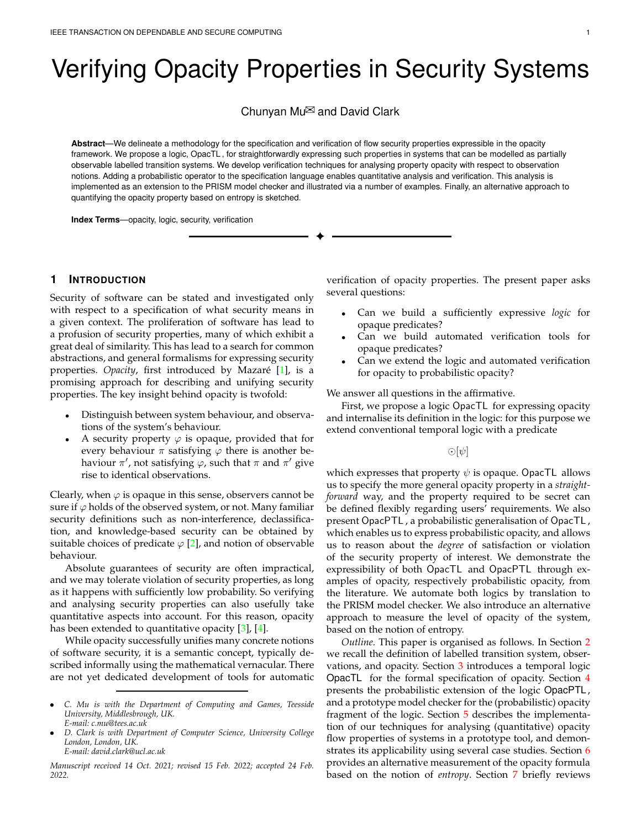# Verifying Opacity Properties in Security Systems

Chunyan Mu $\boxtimes$  and David Clark

**Abstract**—We delineate a methodology for the specification and verification of flow security properties expressible in the opacity framework. We propose a logic, OpacTL , for straightforwardly expressing such properties in systems that can be modelled as partially observable labelled transition systems. We develop verification techniques for analysing property opacity with respect to observation notions. Adding a probabilistic operator to the specification language enables quantitative analysis and verification. This analysis is implemented as an extension to the PRISM model checker and illustrated via a number of examples. Finally, an alternative approach to quantifying the opacity property based on entropy is sketched.

✦

**Index Terms**—opacity, logic, security, verification

# **1 INTRODUCTION**

Security of software can be stated and investigated only with respect to a specification of what security means in a given context. The proliferation of software has lead to a profusion of security properties, many of which exhibit a great deal of similarity. This has lead to a search for common abstractions, and general formalisms for expressing security properties. *Opacity*, first introduced by Mazaré [\[1\]](#page-10-0), is a promising approach for describing and unifying security properties. The key insight behind opacity is twofold:

- Distinguish between system behaviour, and observations of the system's behaviour.
- A security property  $\varphi$  is opaque, provided that for every behaviour  $\pi$  satisfying  $\varphi$  there is another behaviour  $\pi'$ , not satisfying  $\varphi$ , such that  $\pi$  and  $\pi'$  give rise to identical observations.

Clearly, when  $\varphi$  is opaque in this sense, observers cannot be sure if  $\varphi$  holds of the observed system, or not. Many familiar security definitions such as non-interference, declassification, and knowledge-based security can be obtained by suitable choices of predicate  $\varphi$  [\[2\]](#page-10-1), and notion of observable behaviour.

Absolute guarantees of security are often impractical, and we may tolerate violation of security properties, as long as it happens with sufficiently low probability. So verifying and analysing security properties can also usefully take quantitative aspects into account. For this reason, opacity has been extended to quantitative opacity [\[3\]](#page-10-2), [\[4\]](#page-10-3).

While opacity successfully unifies many concrete notions of software security, it is a semantic concept, typically described informally using the mathematical vernacular. There are not yet dedicated development of tools for automatic

• *D. Clark is with Department of Computer Science, University College London, London, UK. E-mail: david.clark@ucl.ac.uk*

*Manuscript received 14 Oct. 2021; revised 15 Feb. 2022; accepted 24 Feb. 2022.*

verification of opacity properties. The present paper asks several questions:

- Can we build a sufficiently expressive *logic* for opaque predicates?
- Can we build automated verification tools for opaque predicates?
- Can we extend the logic and automated verification for opacity to probabilistic opacity?

We answer all questions in the affirmative.

First, we propose a logic OpacTL for expressing opacity and internalise its definition in the logic: for this purpose we extend conventional temporal logic with a predicate

 $\odot |\psi|$ 

which expresses that property  $\psi$  is opaque. OpacTL allows us to specify the more general opacity property in a *straightforward* way, and the property required to be secret can be defined flexibly regarding users' requirements. We also present OpacPTL , a probabilistic generalisation of OpacTL , which enables us to express probabilistic opacity, and allows us to reason about the *degree* of satisfaction or violation of the security property of interest. We demonstrate the expressibility of both OpacTL and OpacPTL through examples of opacity, respectively probabilistic opacity, from the literature. We automate both logics by translation to the PRISM model checker. We also introduce an alternative approach to measure the level of opacity of the system, based on the notion of entropy.

*Outline.* This paper is organised as follows. In Section [2](#page-1-0) we recall the definition of labelled transition system, observations, and opacity. Section [3](#page-1-1) introduces a temporal logic OpacTL for the formal specification of opacity. Section [4](#page-4-0) presents the probabilistic extension of the logic OpacPTL , and a prototype model checker for the (probabilistic) opacity fragment of the logic. Section [5](#page-6-0) describes the implementation of our techniques for analysing (quantitative) opacity flow properties of systems in a prototype tool, and demon-strates its applicability using several case studies. Section [6](#page-7-0) provides an alternative measurement of the opacity formula based on the notion of *entropy*. Section [7](#page-8-0) briefly reviews

<sup>•</sup> *C. Mu is with the Department of Computing and Games, Teesside University, Middlesbrough, UK. E-mail: c.mu@tees.ac.uk*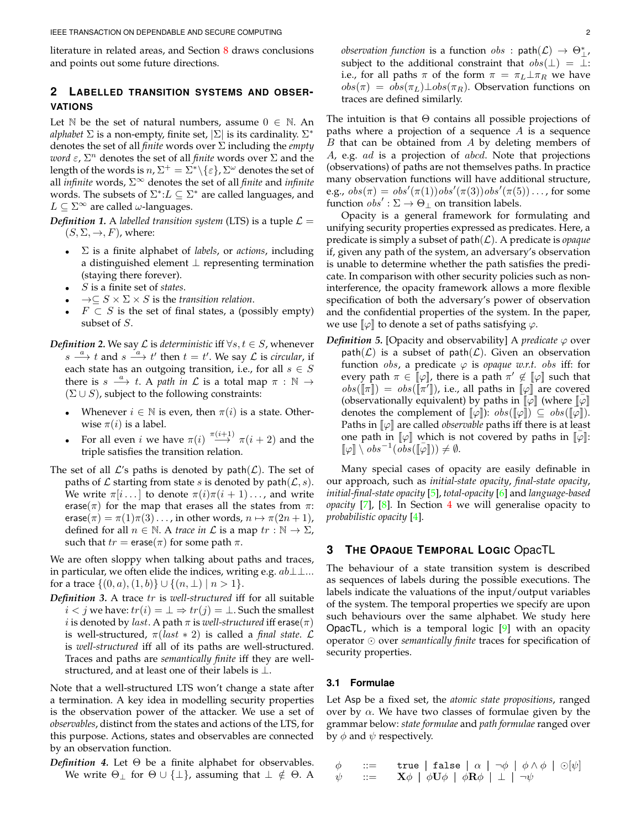literature in related areas, and Section [8](#page-9-0) draws conclusions and points out some future directions.

# <span id="page-1-0"></span>**2 LABELLED TRANSITION SYSTEMS AND OBSER-VATIONS**

Let  $\mathbb N$  be the set of natural numbers, assume  $0 \in \mathbb N$ . An *alphabet*  $\Sigma$  is a non-empty, finite set,  $|\Sigma|$  is its cardinality.  $\Sigma^*$ denotes the set of all *finite* words over Σ including the *empty word*  $\varepsilon$ ,  $\Sigma^n$  denotes the set of all *finite* words over  $\Sigma$  and the length of the words is  $n, \Sigma^+ = \Sigma^* \setminus {\varepsilon}$ ,  $\Sigma^\omega$  denotes the set of all *infinite* words, Σ<sup>∞</sup> denotes the set of all *finite* and *infinite* words. The subsets of  $\Sigma^*$ : $L \subseteq \Sigma^*$  are called languages, and  $L \subseteq \Sigma^{\infty}$  are called  $\omega$ -languages.

<span id="page-1-3"></span>*Definition 1.* A *labelled transition system* (LTS) is a tuple  $\mathcal{L} =$  $(S, \Sigma, \rightarrow, F)$ , where:

- Σ is a finite alphabet of *labels*, or *actions*, including a distinguished element ⊥ representing termination (staying there forever).
- S is a finite set of *states*.
- $\rightarrow \subseteq S \times \Sigma \times S$  is the *transition relation*.
- $F \subset S$  is the set of final states, a (possibly empty) subset of S.
- *Definition 2.* We say  $\mathcal L$  is *deterministic* iff  $\forall s, t \in S$ , whenever  $s \xrightarrow{a} t$  and  $s \xrightarrow{a} t'$  then  $t = t'$ . We say  $\mathcal L$  is *circular*, if each state has an outgoing transition, i.e., for all  $s \in S$ there is  $s \xrightarrow{a} t$ . A *path in*  $\mathcal L$  is a total map  $\pi : \mathbb N \to$  $(\Sigma \cup S)$ , subject to the following constraints:
	- Whenever  $i \in \mathbb{N}$  is even, then  $\pi(i)$  is a state. Otherwise  $\pi(i)$  is a label.
	- For all even *i* we have  $\pi(i) \xrightarrow{\pi(i+1)} \pi(i+2)$  and the triple satisfies the transition relation.
- The set of all  $\mathcal{L}'$ s paths is denoted by path $(\mathcal{L})$ . The set of paths of  $\mathcal L$  starting from state s is denoted by path $(\mathcal L, s)$ . We write  $\pi[i \dots]$  to denote  $\pi(i)\pi(i+1)\dots$ , and write erase( $\pi$ ) for the map that erases all the states from  $\pi$ : erase( $\pi$ ) =  $\pi(1)\pi(3) \ldots$ , in other words,  $n \mapsto \pi(2n+1)$ , defined for all  $n \in \mathbb{N}$ . A *trace in*  $\mathcal L$  is a map  $tr : \mathbb{N} \to \Sigma$ , such that  $tr = \text{erase}(\pi)$  for some path  $\pi$ .

We are often sloppy when talking about paths and traces, in particular, we often elide the indices, writing e.g.  $ab\perp\perp$ ... for a trace  $\{(0, a), (1, b)\} \cup \{(n, \perp) | n > 1\}.$ 

*Definition 3.* A trace tr is *well-structured* iff for all suitable  $i < j$  we have:  $tr(i) = \bot \Rightarrow tr(j) = \bot$ . Such the smallest *i* is denoted by *last*. A path  $\pi$  is *well-structured* iff erase( $\pi$ ) is well-structured,  $\pi (last * 2)$  is called a *final state*.  $\mathcal{L}$ is *well-structured* iff all of its paths are well-structured. Traces and paths are *semantically finite* iff they are wellstructured, and at least one of their labels is  $\bot$ .

Note that a well-structured LTS won't change a state after a termination. A key idea in modelling security properties is the observation power of the attacker. We use a set of *observables*, distinct from the states and actions of the LTS, for this purpose. Actions, states and observables are connected by an observation function.

*Definition 4.* Let Θ be a finite alphabet for observables. We write  $\Theta_{\perp}$  for  $\Theta \cup {\perp}$ , assuming that  $\perp \notin \Theta$ . A

 $\textit{observation function}$  is a function  $\textit{obs}$  :  $\textsf{path}(\mathcal{L}) \rightarrow \Theta_{\perp}^*$ , subject to the additional constraint that  $obs(\perp) = \perp$ : i.e., for all paths  $\pi$  of the form  $\pi = \pi_L \perp \pi_R$  we have  $obs(\pi) = obs(\pi_L) \perp obs(\pi_R)$ . Observation functions on traces are defined similarly.

The intuition is that  $\Theta$  contains all possible projections of paths where a projection of a sequence  $A$  is a sequence  $B$  that can be obtained from  $A$  by deleting members of A, e.g. ad is a projection of abcd. Note that projections (observations) of paths are not themselves paths. In practice many observation functions will have additional structure, e.g.,  $obs(\pi) = obs'(\pi(1))obs'(\pi(3))obs'(\pi(5)) \dots$ , for some function  $obs' : \Sigma \to \Theta_{\perp}$  on transition labels.

Opacity is a general framework for formulating and unifying security properties expressed as predicates. Here, a predicate is simply a subset of  $path(\mathcal{L})$ . A predicate is *opaque* if, given any path of the system, an adversary's observation is unable to determine whether the path satisfies the predicate. In comparison with other security policies such as noninterference, the opacity framework allows a more flexible specification of both the adversary's power of observation and the confidential properties of the system. In the paper, we use  $\llbracket \varphi \rrbracket$  to denote a set of paths satisfying  $\varphi$ .

<span id="page-1-2"></span>*Definition 5.* [Opacity and observability] A *predicate*  $\varphi$  over  $path(\mathcal{L})$  is a subset of path $(\mathcal{L})$ . Given an observation function *obs*, a predicate  $\varphi$  is *opaque w.r.t. obs* iff: for every path  $\pi \in [\![\varphi]\!]$ , there is a path  $\pi' \notin [\![\varphi]\!]$  such that  $obs([\![\pi]\!]) = obs([\![\pi^{\tau}]\!])$ , i.e., all paths in  $[\![\varphi]\!]$  are covered (observationally equivalent) by paths in  $\llbracket \varphi \rrbracket$  (where  $\llbracket \varphi \rrbracket$ denotes the complement of  $[\![\varphi]\!]$ ):  $obs([\![\varphi]\!]) \subseteq obs([\![\varphi]\!])$ . Paths in  $\llbracket \varphi \rrbracket$  are called *observable* paths iff there is at least one path in  $\llbracket \varphi \rrbracket$  which is not covered by paths in  $\llbracket \varphi \rrbracket$ :  $[\![\varphi]\!] \setminus obs^{-1}(\overline{obs}([\![\overline{\varphi}]\!])) \neq \emptyset.$ 

Many special cases of opacity are easily definable in our approach, such as *initial-state opacity*, *final-state opacity*, *initial-final-state opacity* [\[5\]](#page-10-4), *total-opacity* [\[6\]](#page-10-5) and *language-based opacity* [\[7\]](#page-10-6), [\[8\]](#page-10-7). In Section [4](#page-4-0) we will generalise opacity to *probabilistic opacity* [\[4\]](#page-10-3).

# <span id="page-1-1"></span>**3 THE OPAQUE TEMPORAL LOGIC** OpacTL

The behaviour of a state transition system is described as sequences of labels during the possible executions. The labels indicate the valuations of the input/output variables of the system. The temporal properties we specify are upon such behaviours over the same alphabet. We study here **OpacTL**, which is a temporal logic  $[9]$  with an opacity operator ⊙ over *semantically finite* traces for specification of security properties.

## **3.1 Formulae**

Let Asp be a fixed set, the *atomic state propositions*, ranged over by  $\alpha$ . We have two classes of formulae given by the grammar below: *state formulae* and *path formulae* ranged over by  $\phi$  and  $\psi$  respectively.

$$
\begin{array}{lll}\n\phi & ::= & \text{true} \mid \text{false} \mid \alpha \mid \neg \phi \mid \phi \land \phi \mid \odot [\psi] \\
\psi & ::= & \mathbf{X}\phi \mid \phi\mathbf{U}\phi \mid \phi\mathbf{R}\phi \mid \bot \mid \neg \psi\n\end{array}
$$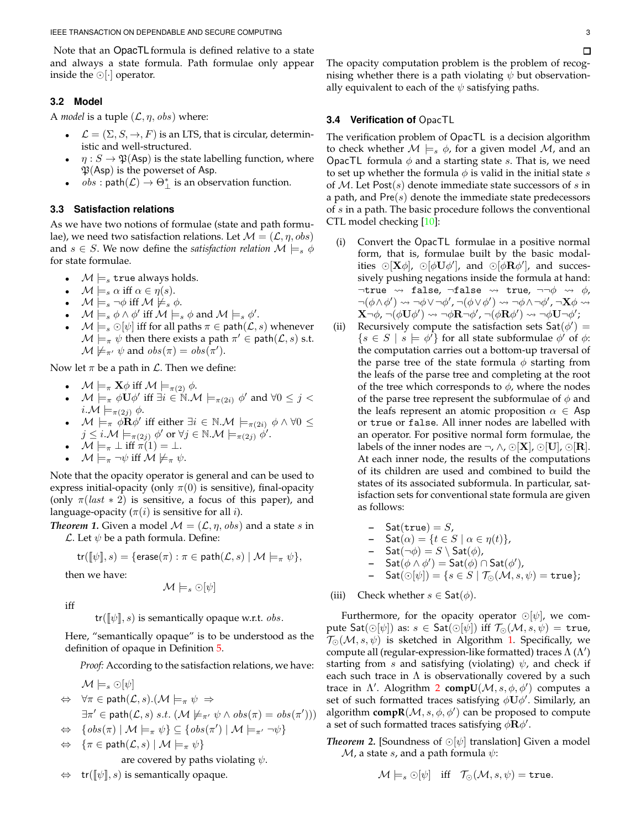Note that an OpacTL formula is defined relative to a state and always a state formula. Path formulae only appear inside the ⊙[·] operator.

# <span id="page-2-0"></span>**3.2 Model**

A *model* is a tuple  $(L, \eta, obs)$  where:

- $\mathcal{L} = (\Sigma, S, \rightarrow, F)$  is an LTS, that is circular, deterministic and well-structured.
- $\eta: S \to \mathfrak{P}(\mathsf{Asp})$  is the state labelling function, where  $\mathfrak{P}(Asp)$  is the powerset of Asp.
- $obs : \text{path}(\mathcal{L}) \rightarrow \Theta_{\perp}^{*}$  is an observation function.

# **3.3 Satisfaction relations**

As we have two notions of formulae (state and path formulae), we need two satisfaction relations. Let  $\mathcal{M} = (\mathcal{L}, \eta, obs)$ and  $s \in S$ . We now define the *satisfaction relation*  $\mathcal{M} \models_s \phi$ for state formulae.

- $\mathcal{M} \models_{s}$  true always holds.
- $\mathcal{M} \models_s \alpha \text{ iff } \alpha \in \eta(s).$
- $\mathcal{M} \models_s \neg \phi$  iff  $\mathcal{M} \not\models_s \phi$ .
- $M \models_s \phi \land \phi' \text{ iff } M \models_s \phi \text{ and } M \models_s \phi'.$
- $\mathcal{M} \models_s \bigcirc [\psi]$  iff for all paths  $\pi \in \mathsf{path}(\mathcal{L}, s)$  whenever  $\mathcal{M} \models_{\pi} \psi$  then there exists a path  $\pi' \in \mathsf{path}(\mathcal{L}, s)$  s.t.  $\mathcal{M} \not\models_{\pi'} \psi$  and  $obs(\pi) = obs(\pi').$

Now let  $\pi$  be a path in  $\mathcal{L}$ . Then we define:

- $\mathcal{M} \models_{\pi} \mathbf{X} \phi$  iff  $\mathcal{M} \models_{\pi(2)} \phi$ .
- $\mathcal{M} \models_{\pi} \phi \mathbf{U} \phi'$  iff  $\exists i \in \mathbb{N} \mathcal{M} \models_{\pi(2i)} \phi'$  and  $\forall 0 \leq j <$  $i.\mathcal{M} \models_{\pi(2i)} \phi.$
- $\mathcal{M} \models_{\pi} \widetilde{\phi} \mathbf{R} \phi'$  iff either  $\exists i \in \mathbb{N} \mathcal{M} \models_{\pi(2i)} \phi \wedge \forall 0 \leq$  $j\leq i.\mathcal{M}\models_{\pi(2j)}\phi' \text{ or } \forall j\in\mathbb{N}.\mathcal{M}\models_{\pi(2j)}\phi'.$
- $\mathcal{M} \models_{\pi} \bot$  iff  $\pi(1) = \bot$ .
- $\mathcal{M} \models_{\pi} \neg \psi$  iff  $\mathcal{M} \not\models_{\pi} \psi$ .

Note that the opacity operator is general and can be used to express initial-opacity (only  $\pi(0)$  is sensitive), final-opacity (only  $\pi (last * 2)$  is sensitive, a focus of this paper), and language-opacity ( $\pi(i)$  is sensitive for all *i*).

*Theorem 1.* Given a model  $\mathcal{M} = (\mathcal{L}, \eta, obs)$  and a state s in  $\mathcal{L}$ . Let  $\psi$  be a path formula. Define:

$$
\mathsf{tr}(\llbracket \psi \rrbracket, s) = \{ \mathsf{erase}(\pi) : \pi \in \mathsf{path}(\mathcal{L}, s) \mid \mathcal{M} \models_{\pi} \psi \},
$$

then we have:

$$
\mathcal{M}\models_s \odot[\psi]
$$

iff

 $tr([\![\psi]\!], s)$  is semantically opaque w.r.t. *obs*.

Here, "semantically opaque" is to be understood as the definition of opaque in Definition [5.](#page-1-2)

*Proof:* According to the satisfaction relations, we have:

 $\mathcal{M} \models_s \odot [\psi]$ 

- $\Leftrightarrow \forall \pi \in \mathsf{path}(\mathcal{L}, s).(\mathcal{M} \models_{\pi} \psi \Rightarrow$  $\exists \pi' \in \mathsf{path}(\mathcal{L}, s) \ s.t. \ (\mathcal{M} \not\models_{\pi'} \psi \land obs(\pi) = obs(\pi')))$
- $\Leftrightarrow \{obs(\pi) | \mathcal{M} \models_{\pi} \psi\} \subseteq \{obs(\pi') | \mathcal{M} \models_{\pi'} \neg \psi\}$
- $\Leftrightarrow \{\pi \in \mathsf{path}(\mathcal{L},s) \mid \mathcal{M} \models_{\pi} \psi\}$

are covered by paths violating  $\psi$ .

 $\text{tr}([\![\psi]\!], s)$  is semantically opaque.

The opacity computation problem is the problem of recognising whether there is a path violating  $\psi$  but observationally equivalent to each of the  $\psi$  satisfying paths.

# **3.4 Verification of** OpacTL

The verification problem of OpacTL is a decision algorithm to check whether  $M \models_s \phi$ , for a given model M, and an OpacTL formula  $\phi$  and a starting state s. That is, we need to set up whether the formula  $\phi$  is valid in the initial state s of  $M$ . Let Post(s) denote immediate state successors of s in a path, and  $Pre(s)$  denote the immediate state predecessors of s in a path. The basic procedure follows the conventional CTL model checking [\[10\]](#page-10-9):

- (i) Convert the OpacTL formulae in a positive normal form, that is, formulae built by the basic modalities ⊙[ $\mathbf{X}\phi$ ], ⊙[ $\phi\mathbf{U}\phi'$ ], and ⊙[ $\phi\mathbf{R}\phi'$ ], and successively pushing negations inside the formula at hand:  $\neg$ true  $\rightsquigarrow$  false,  $\neg$ false  $\rightsquigarrow$  true,  $\neg\neg\phi$   $\rightsquigarrow$   $\phi$ ,  $\neg(\phi \land \phi') \leadsto \neg \phi \lor \neg \phi', \neg(\phi \lor \phi') \leadsto \neg \phi \land \neg \phi', \neg \mathbf{X} \phi \leadsto$  $\mathbf{X}\neg\phi$ ,  $\neg(\phi\mathbf{U}\phi') \leadsto \neg\phi\mathbf{R}\neg\phi'$ ,  $\neg(\phi\mathbf{R}\phi') \leadsto \neg\phi\mathbf{U}\neg\phi'$ ;
- (ii) Recursively compute the satisfaction sets  $\mathsf{Sat}(\phi') =$  ${s \in S \mid s \models \phi'}$  for all state subformulae  $\phi'$  of  $\phi$ : the computation carries out a bottom-up traversal of the parse tree of the state formula  $\phi$  starting from the leafs of the parse tree and completing at the root of the tree which corresponds to  $\phi$ , where the nodes of the parse tree represent the subformulae of  $\phi$  and the leafs represent an atomic proposition  $\alpha \in \mathsf{Asp}$ or true or false. All inner nodes are labelled with an operator. For positive normal form formulae, the labels of the inner nodes are  $\neg$ ,  $\wedge$ ,  $\odot$ [**X**],  $\odot$ [**U**],  $\odot$ [**R**]. At each inner node, the results of the computations of its children are used and combined to build the states of its associated subformula. In particular, satisfaction sets for conventional state formula are given as follows:
	- $-$  Sat(true) = S,  $\mathsf{Sat}(\alpha) = \{t \in S \mid \alpha \in \eta(t)\},\$ **–**  $\mathsf{Sat}(\neg \phi) = S \setminus \mathsf{Sat}(\phi)$ , **–** Sat $(\phi \land \phi')$  = Sat $(\phi)$  ∩ Sat $(\phi')$ ,
	- **–** Sat $(\odot[\psi]) = \{s \in S \mid \mathcal{T}_{\odot}(\mathcal{M}, s, \psi) = \mathtt{true}\};$

(iii) Check whether  $s \in$  Sat( $\phi$ ).

Furthermore, for the opacity operator ⊙[ $\psi$ ], we compute Sat $(\odot[\psi])$  as:  $s \in \mathsf{Sat}(\odot[\psi])$  iff  $\mathcal{T}_{\odot}(\mathcal{M}, s, \psi) = \mathtt{true}$ ,  $\mathcal{T}_{\odot}(\mathcal{M}, s, \psi)$  is sketched in Algorithm [1.](#page-3-0) Specifically, we compute all (regular-expression-like formatted) traces  $\Lambda(\Lambda')$ starting from s and satisfying (violating)  $\psi$ , and check if each such trace in  $\Lambda$  is observationally covered by a such trace in  $\Lambda'$ . Alogrithm [2](#page-3-1) **compU**( $\mathcal{M}, s, \phi, \phi'$ ) computes a set of such formatted traces satisfying  $\phi \overline{U} \phi'$ . Similarly, an algorithm **compR**( $M$ ,  $s$ ,  $\phi$ ,  $\phi'$ ) can be proposed to compute a set of such formatted traces satisfying  $\phi \mathbf{R} \phi'$ .

*Theorem* 2. [Soundness of ⊙[ $\psi$ ] translation] Given a model  $\mathcal{M}$ , a state s, and a path formula  $\psi$ :

$$
\mathcal{M} \models_s \odot [\psi] \quad \text{iff} \quad \mathcal{T}_{\odot}(\mathcal{M}, s, \psi) = \texttt{true}.
$$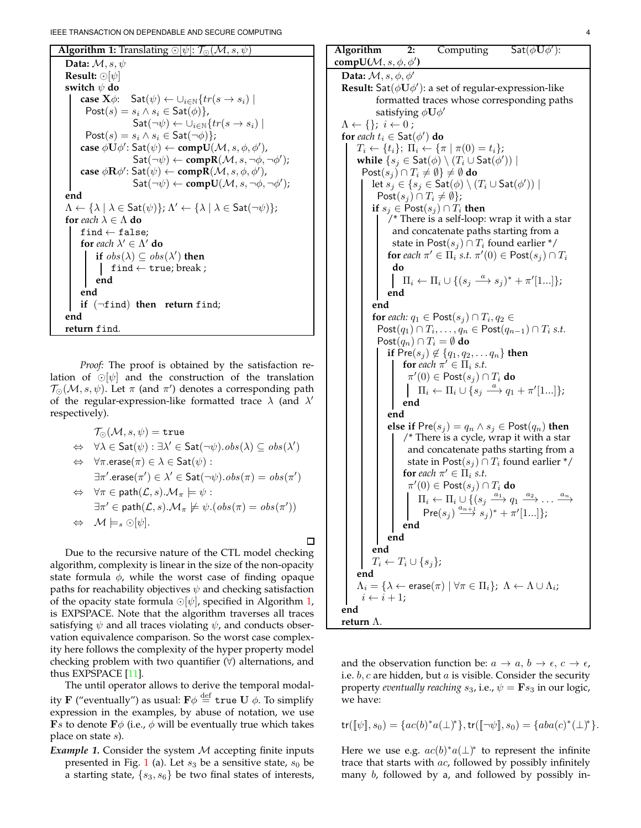```
Algorithm 1: Translating ⊙[\psi]: \mathcal{T}_{\odot}(\mathcal{M}, s, \psi)Data: M, s, ψ
  Result: ⊙[ψ]
  switch ψ do
         case \mathbf{X}\phi: \mathsf{Sat}(\psi) \leftarrow \bigcup_{i\in\mathbb{N}} \{tr(s \rightarrow s_i) \midPost(s) = s_i \wedge s_i \in Sat(\phi),
                                 \mathsf{Sat}(\neg\psi) \leftarrow \cup_{i\in\mathbb{N}} \{tr(s \rightarrow s_i) \midPost(s) = s_i \wedge s_i \in Sat(\neg \phi);
          \mathsf{case}~\phi\dot{\mathbf{U}}\phi'\colon \mathsf{Sat}(\psi)\leftarrow \mathsf{comp}\dot{\mathbf{U}}(\mathcal{M},s,\phi,\phi'),\mathsf{Sat}(\neg \psi) \leftarrow \mathbf{compR}(\mathcal{M}, s, \neg \phi, \neg \phi');
          \mathsf{case}\ \phi\mathbf{R}\phi'\colon \mathsf{Sat}(\psi)\leftarrow \mathsf{comp}\bar{\mathbf{R}}(\mathcal{M},s,\phi,\phi'),\mathsf{Sat}(\neg \psi) \leftarrow \mathbf{compU}(\mathcal{M}, s, \neg \phi, \neg \phi');
  end
   \Lambda \leftarrow {\lambda | \lambda \in \mathsf{Sat}(\psi)}; \Lambda' \leftarrow {\lambda | \lambda \in \mathsf{Sat}(\neg \psi)};for each \lambda \in \Lambda do
         find \leftarrow false;
          for each \lambda' \in \Lambda' do
                 if obs(\lambda) \subseteq obs(\lambda') then
                   find \leftarrow true; break;
                end
          end
         if (¬find) then return find;
   end
  return find.
```
<span id="page-3-0"></span>*Proof:* The proof is obtained by the satisfaction relation of ⊙[ $\psi$ ] and the construction of the translation  $\mathcal{T}_{\odot}(\mathcal{M}, s, \psi)$ . Let  $\pi$  (and  $\pi'$ ) denotes a corresponding path of the regular-expression-like formatted trace  $\lambda$  (and  $\lambda'$ respectively).

| $\mathcal{T}_{\odot}(\mathcal{M}, s, \psi) = \mathtt{true}$                                                                                        |  |
|----------------------------------------------------------------------------------------------------------------------------------------------------|--|
| $\Leftrightarrow \forall \lambda \in \mathsf{Sat}(\psi) : \exists \lambda' \in \mathsf{Sat}(\neg \psi) \cdot obs(\lambda) \subseteq obs(\lambda')$ |  |
| $\Leftrightarrow$ $\forall \pi.\text{erase}(\pi) \in \lambda \in \text{Sat}(\psi)$ :                                                               |  |
| $\exists \pi'.\textsf{erase}(\pi') \in \lambda' \in \textsf{Sat}(\neg \psi).obs(\pi) = obs(\pi')$                                                  |  |
| $\Leftrightarrow$ $\forall \pi \in \mathsf{path}(\mathcal{L}, s) . \mathcal{M}_\pi \models \psi :$                                                 |  |
| $\exists \pi' \in \mathsf{path}(\mathcal{L}, s) . \mathcal{M}_\pi \not\models \psi. (obs(\pi) = obs(\pi'))$                                        |  |
| $\Leftrightarrow M \models_s \odot [\psi].$                                                                                                        |  |
|                                                                                                                                                    |  |

Due to the recursive nature of the CTL model checking algorithm, complexity is linear in the size of the non-opacity state formula  $\phi$ , while the worst case of finding opaque paths for reachability objectives  $\psi$  and checking satisfaction of the opacity state formula  $\odot[\psi]$ , specified in Algorithm [1,](#page-3-0) is EXPSPACE. Note that the algorithm traverses all traces satisfying  $\psi$  and all traces violating  $\psi$ , and conducts observation equivalence comparison. So the worst case complexity here follows the complexity of the hyper property model checking problem with two quantifier  $(\forall)$  alternations, and thus EXPSPACE [\[11\]](#page-10-10).

The until operator allows to derive the temporal modality  ${\bf F}$  ("eventually") as usual:  ${\bf F}\phi\stackrel{\rm def}{=} {\tt true}\ {\bf U}\ \phi.$  To simplify expression in the examples, by abuse of notation, we use **F**s to denote **F** $\phi$  (i.e.,  $\phi$  will be eventually true which takes place on state s).

*Example 1.* Consider the system M accepting finite inputs presented in Fig. [1](#page-4-1) (a). Let  $s_3$  be a sensitive state,  $s_0$  be a starting state,  $\{s_3, s_6\}$  be two final states of interests,

| Algorithm                                                                                                                            | 2:                                                                |                                                                                          | Computing $Sat(\phi\mathbf{U}\phi')$ :                                                                  |  |  |  |
|--------------------------------------------------------------------------------------------------------------------------------------|-------------------------------------------------------------------|------------------------------------------------------------------------------------------|---------------------------------------------------------------------------------------------------------|--|--|--|
| compU( $\mathcal{M}, s, \phi, \phi'$ )                                                                                               |                                                                   |                                                                                          |                                                                                                         |  |  |  |
| Data: $\mathcal{M}, s, \phi, \phi'$                                                                                                  |                                                                   |                                                                                          |                                                                                                         |  |  |  |
| <b>Result:</b> Sat( $\phi$ U $\phi'$ ): a set of regular-expression-like                                                             |                                                                   |                                                                                          |                                                                                                         |  |  |  |
| formatted traces whose corresponding paths                                                                                           |                                                                   |                                                                                          |                                                                                                         |  |  |  |
| satisfying $\phi \mathbf{U} \phi'$                                                                                                   |                                                                   |                                                                                          |                                                                                                         |  |  |  |
| $\Lambda \leftarrow \{\}; i \leftarrow 0;$                                                                                           |                                                                   |                                                                                          |                                                                                                         |  |  |  |
| for each $t_i \in$ Sat $(\phi')$ do                                                                                                  |                                                                   |                                                                                          |                                                                                                         |  |  |  |
| $T_i \leftarrow \{t_i\}; \; \Pi_i \leftarrow \{\pi \mid \pi(0) = t_i\};$                                                             |                                                                   |                                                                                          |                                                                                                         |  |  |  |
| while $\{s_i \in \mathsf{Sat}(\phi) \setminus (T_i \cup \mathsf{Sat}(\phi'))\}$                                                      |                                                                   |                                                                                          |                                                                                                         |  |  |  |
|                                                                                                                                      | $\text{Post}(s_i) \cap T_i \neq \emptyset$ $\} \neq \emptyset$ do |                                                                                          |                                                                                                         |  |  |  |
|                                                                                                                                      |                                                                   | let $s_j \in \{s_j \in \mathsf{Sat}(\phi) \setminus (T_i \cup \mathsf{Sat}(\phi')) \mid$ |                                                                                                         |  |  |  |
|                                                                                                                                      | $Post(s_j) \cap T_i \neq \emptyset$ ;                             |                                                                                          |                                                                                                         |  |  |  |
|                                                                                                                                      |                                                                   | if $s_j \in \text{Post}(s_j) \cap T_i$ then                                              |                                                                                                         |  |  |  |
|                                                                                                                                      |                                                                   |                                                                                          | /* There is a self-loop: wrap it with a star                                                            |  |  |  |
|                                                                                                                                      |                                                                   | and concatenate paths starting from a                                                    |                                                                                                         |  |  |  |
|                                                                                                                                      |                                                                   | state in Post $(s_i) \cap T_i$ found earlier */                                          |                                                                                                         |  |  |  |
|                                                                                                                                      | do                                                                |                                                                                          | for each $\pi' \in \Pi_i$ s.t. $\pi'(0) \in \text{Post}(s_i) \cap T_i$                                  |  |  |  |
|                                                                                                                                      |                                                                   |                                                                                          |                                                                                                         |  |  |  |
|                                                                                                                                      |                                                                   | $\Pi_i \leftarrow \Pi_i \cup \{(s_i \stackrel{a}{\longrightarrow} s_i)^* + \pi'[1]\};$   |                                                                                                         |  |  |  |
|                                                                                                                                      | end                                                               |                                                                                          |                                                                                                         |  |  |  |
|                                                                                                                                      | end                                                               |                                                                                          |                                                                                                         |  |  |  |
|                                                                                                                                      |                                                                   | for each: $q_1 \in \text{Post}(s_j) \cap T_i, q_2 \in$                                   |                                                                                                         |  |  |  |
| $\mathsf{Post}(q_1) \cap T_i, \ldots, q_n \in \mathsf{Post}(q_{n-1}) \cap T_i \text{ s.t.}$                                          |                                                                   |                                                                                          |                                                                                                         |  |  |  |
| $Post(q_n) \cap T_i = \emptyset$ do<br>if Pre $(s_j) \notin \{q_1, q_2, \ldots q_n\}$ then                                           |                                                                   |                                                                                          |                                                                                                         |  |  |  |
|                                                                                                                                      |                                                                   | for each $\pi' \in \Pi_i$ s.t.                                                           |                                                                                                         |  |  |  |
|                                                                                                                                      |                                                                   | $\pi'(0) \in \text{Post}(s_j) \cap T_i$ do                                               |                                                                                                         |  |  |  |
|                                                                                                                                      |                                                                   |                                                                                          | $\Pi_i \leftarrow \Pi_i \cup \{s_i \stackrel{a}{\longrightarrow} q_1 + \pi'[1]\};$                      |  |  |  |
|                                                                                                                                      | end                                                               |                                                                                          |                                                                                                         |  |  |  |
|                                                                                                                                      | end                                                               |                                                                                          |                                                                                                         |  |  |  |
|                                                                                                                                      |                                                                   |                                                                                          | else if $Pre(s_j) = q_n \wedge s_j \in Post(q_n)$ then                                                  |  |  |  |
|                                                                                                                                      |                                                                   |                                                                                          | /* There is a cycle, wrap it with a star                                                                |  |  |  |
|                                                                                                                                      |                                                                   |                                                                                          | and concatenate paths starting from a                                                                   |  |  |  |
|                                                                                                                                      |                                                                   |                                                                                          | state in Post $(s_j) \cap T_i$ found earlier */                                                         |  |  |  |
|                                                                                                                                      |                                                                   | for each $\pi' \in \Pi_i$ s.t.                                                           |                                                                                                         |  |  |  |
|                                                                                                                                      |                                                                   | $\pi'(0) \in \text{Post}(s_j) \cap T_i$ do                                               |                                                                                                         |  |  |  |
|                                                                                                                                      |                                                                   |                                                                                          | $\Pi_i \leftarrow \Pi_i \cup \{(s_j \xrightarrow{a_1} q_1 \xrightarrow{a_2} \dots \xrightarrow{a_n} \}$ |  |  |  |
|                                                                                                                                      |                                                                   | $\mathsf{Pre}(s_j) \stackrel{a_{n+1}}{\longrightarrow} s_j)^* + \pi'[1]\};$              |                                                                                                         |  |  |  |
|                                                                                                                                      | end                                                               |                                                                                          |                                                                                                         |  |  |  |
|                                                                                                                                      | end                                                               |                                                                                          |                                                                                                         |  |  |  |
|                                                                                                                                      | end                                                               |                                                                                          |                                                                                                         |  |  |  |
| $T_i \leftarrow T_i \cup \{s_j\};$                                                                                                   |                                                                   |                                                                                          |                                                                                                         |  |  |  |
| end                                                                                                                                  |                                                                   |                                                                                          |                                                                                                         |  |  |  |
| $\Lambda_i = \{ \lambda \leftarrow \textsf{erase}(\pi) \mid \forall \pi \in \Pi_i \}; \; \Lambda \leftarrow \Lambda \cup \Lambda_i;$ |                                                                   |                                                                                          |                                                                                                         |  |  |  |
|                                                                                                                                      | $i \leftarrow i + 1;$                                             |                                                                                          |                                                                                                         |  |  |  |
| end                                                                                                                                  |                                                                   |                                                                                          |                                                                                                         |  |  |  |
| return $\Lambda$ .                                                                                                                   |                                                                   |                                                                                          |                                                                                                         |  |  |  |

<span id="page-3-1"></span>and the observation function be:  $a \to a$ ,  $b \to \epsilon$ ,  $c \to \epsilon$ , i.e.  $b, c$  are hidden, but  $a$  is visible. Consider the security property *eventually reaching*  $s_3$ , i.e.,  $\psi = \mathbf{F} s_3$  in our logic, we have:

$$
\mathop{\mathsf{tr}}\nolimits([\![\psi]\!], s_0) = \{ac(b)^*a(\bot)^*\}, \mathop{\mathsf{tr}}\nolimits([\![\neg\psi]\!], s_0) = \{aba(c)^*(\bot)^*\}.
$$

Here we use e.g.  $ac(b)^*a(\perp)^*$  to represent the infinite trace that starts with  $ac$ , followed by possibly infinitely many b, followed by a, and followed by possibly in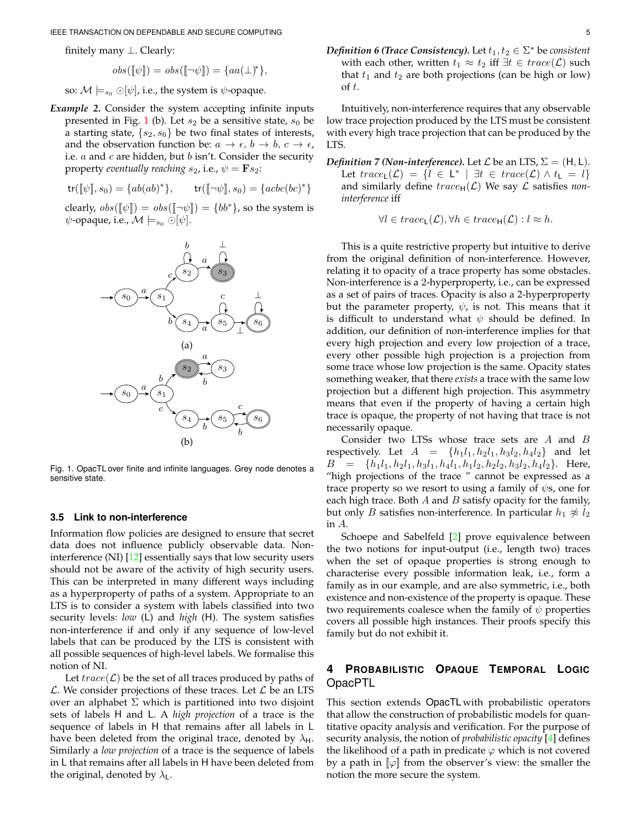IEEE TRANSACTION ON DEPENDABLE AND SECURE COMPUTING 5

finitely many ⊥. Clearly:

$$
obs([\![\psi]\!]) = obs([\![\neg\psi]\!]) = \{aa(\bot)^*\},
$$

so:  $\mathcal{M} \models_{s_0} \bigcirc [\psi]$ , i.e., the system is  $\psi$ -opaque.

*Example 2.* Consider the system accepting infinite inputs presented in Fig. [1](#page-4-1) (b). Let  $s_2$  be a sensitive state,  $s_0$  be a starting state,  $\{s_2, s_6\}$  be two final states of interests, and the observation function be:  $a \rightarrow \epsilon$ ,  $b \rightarrow b$ ,  $c \rightarrow \epsilon$ , i.e.  $a$  and  $c$  are hidden, but  $b$  isn't. Consider the security property *eventually reaching*  $s_2$ , i.e.,  $\psi = \mathbf{F} s_2$ :

$$
\mathsf{tr}(\llbracket \psi \rrbracket, s_0) = \{ ab(ab)^* \}, \qquad \mathsf{tr}(\llbracket \neg \psi \rrbracket, s_0) = \{ acbc(bc)^* \}
$$

clearly,  $obs([\![\psi]\!]) = obs([\![\neg \psi]\!]) = \{bb^*\}$ , so the system is  $\psi$ -opaque, i.e.,  $\mathcal{M} \models_{s_0} \bigcirc [\psi]$ .



<span id="page-4-1"></span>Fig. 1. OpacTL over finite and infinite languages. Grey node denotes a sensitive state.

## **3.5 Link to non-interference**

Information flow policies are designed to ensure that secret data does not influence publicly observable data. Noninterference (NI) [\[12\]](#page-10-11) essentially says that low security users should not be aware of the activity of high security users. This can be interpreted in many different ways including as a hyperproperty of paths of a system. Appropriate to an LTS is to consider a system with labels classified into two security levels: *low* (L) and *high* (H). The system satisfies non-interference if and only if any sequence of low-level labels that can be produced by the LTS is consistent with all possible sequences of high-level labels. We formalise this notion of NI.

Let  $trace(\mathcal{L})$  be the set of all traces produced by paths of  $\mathcal{L}$ . We consider projections of these traces. Let  $\mathcal{L}$  be an LTS over an alphabet  $\Sigma$  which is partitioned into two disjoint sets of labels H and L. A *high projection* of a trace is the sequence of labels in H that remains after all labels in L have been deleted from the original trace, denoted by  $\lambda_{\rm H}$ . Similarly a *low projection* of a trace is the sequence of labels in L that remains after all labels in H have been deleted from the original, denoted by  $\lambda_L$ .

*Definition 6 (Trace Consistency).* Let  $t_1, t_2 \in \Sigma^*$  be consistent with each other, written  $t_1 \approx t_2$  iff  $\exists t \in trace(\mathcal{L})$  such that  $t_1$  and  $t_2$  are both projections (can be high or low) of t.

Intuitively, non-interference requires that any observable low trace projection produced by the LTS must be consistent with every high trace projection that can be produced by the LTS.

*Definition 7 (Non-interference).* Let  $\mathcal L$  be an LTS,  $\Sigma = (H, L)$ . Let  $trace_{L}(\mathcal{L}) = \{l \in L^* \mid \exists t \in trace(\mathcal{L}) \wedge t_{L} = l\}$ and similarly define  $trace_H(\mathcal{L})$  We say  $\mathcal L$  satisfies *noninterference* iff

$$
\forall l \in trace_{\mathsf{L}}(\mathcal{L}), \forall h \in trace_{\mathsf{H}}(\mathcal{L}): l \approx h.
$$

This is a quite restrictive property but intuitive to derive from the original definition of non-interference. However, relating it to opacity of a trace property has some obstacles. Non-interference is a 2-hyperproperty, i.e., can be expressed as a set of pairs of traces. Opacity is also a 2-hyperproperty but the parameter property,  $\psi$ , is not. This means that it is difficult to understand what  $\psi$  should be defined. In addition, our definition of non-interference implies for that every high projection and every low projection of a trace, every other possible high projection is a projection from some trace whose low projection is the same. Opacity states something weaker, that there *exists* a trace with the same low projection but a different high projection. This asymmetry means that even if the property of having a certain high trace is opaque, the property of not having that trace is not necessarily opaque.

Consider two LTSs whose trace sets are A and B respectively. Let  $A = \{h_1l_1, h_2l_1, h_3l_2, h_4l_2\}$  and let  $B = \{h_1l_1, h_2l_1, h_3l_1, h_4l_1, h_1l_2, h_2l_2, h_3l_2, h_4l_2\}.$  Here, "high projections of the trace " cannot be expressed as a trace property so we resort to using a family of  $\psi$ s, one for each high trace. Both  $A$  and  $B$  satisfy opacity for the family, but only *B* satisfies non-interference. In particular  $h_1 \not\approx l_2$ in A.

Schoepe and Sabelfeld [\[2\]](#page-10-1) prove equivalence between the two notions for input-output (i.e., length two) traces when the set of opaque properties is strong enough to characterise every possible information leak, i.e., form a family as in our example, and are also symmetric, i.e., both existence and non-existence of the property is opaque. These two requirements coalesce when the family of  $\psi$  properties covers all possible high instances. Their proofs specify this family but do not exhibit it.

# <span id="page-4-0"></span>**4 PROBABILISTIC OPAQUE TEMPORAL LOGIC** OpacPTL

This section extends OpacTL with probabilistic operators that allow the construction of probabilistic models for quantitative opacity analysis and verification. For the purpose of security analysis, the notion of *probabilistic opacity* [\[4\]](#page-10-3) defines the likelihood of a path in predicate  $\varphi$  which is not covered by a path in  $\llbracket \varphi \rrbracket$  from the observer's view: the smaller the notion the more secure the system.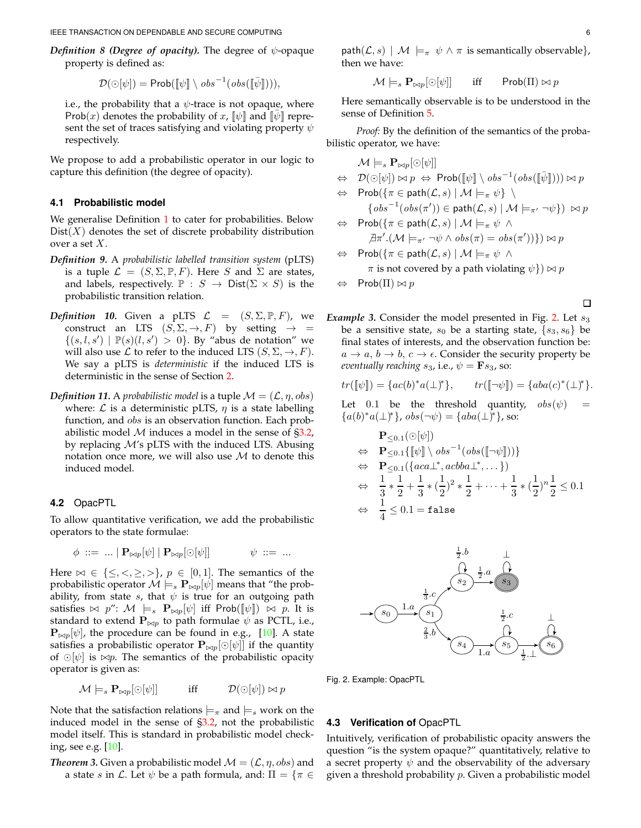IEEE TRANSACTION ON DEPENDABLE AND SECURE COMPUTING 6

*Definition 8 (Degree of opacity).* The degree of  $\psi$ -opaque property is defined as:

$$
\mathcal{D}(\odot[\psi]) = \mathsf{Prob}([\![\psi]\!] \setminus \mathit{obs}^{-1}(\mathit{obs}([\![\bar{\psi}]\!]))),
$$

i.e., the probability that a  $\psi$ -trace is not opaque, where Prob(x) denotes the probability of x,  $[\![\psi]\!]$  and  $[\![\psi]\!]$  represent the set of traces satisfying and violating property  $\psi$ respectively.

We propose to add a probabilistic operator in our logic to capture this definition (the degree of opacity).

## **4.1 Probabilistic model**

We generalise Definition [1](#page-1-3) to cater for probabilities. Below  $Dist(X)$  denotes the set of discrete probability distribution over a set X.

- *Definition 9.* A *probabilistic labelled transition system* (pLTS) is a tuple  $\mathcal{L} = (S, \Sigma, \mathbb{P}, F)$ . Here S and  $\Sigma$  are states, and labels, respectively.  $\mathbb{P}: S \to \text{Dist}(\Sigma \times S)$  is the probabilistic transition relation.
- *Definition 10.* Given a pLTS  $\mathcal{L} = (S, \Sigma, \mathbb{P}, F)$ , we construct an LTS  $(S, \Sigma, \rightarrow, F)$  by setting  $\rightarrow$  =  $\{(s, l, s') | \mathbb{P}(s)(l, s') > 0\}$ . By "abus de notation" we will also use  $\mathcal L$  to refer to the induced LTS  $(S, \Sigma, \rightarrow, F)$ . We say a pLTS is *deterministic* if the induced LTS is deterministic in the sense of Section [2.](#page-1-0)
- *Definition 11.* A *probabilistic model* is a tuple  $\mathcal{M} = (\mathcal{L}, \eta, obs)$ where:  $\mathcal L$  is a deterministic pLTS,  $\eta$  is a state labelling function, and *obs* is an observation function. Each probabilistic model  $M$  induces a model in the sense of  $\S 3.2$ , by replacing  $M$ 's pLTS with the induced LTS. Abusing notation once more, we will also use  $M$  to denote this induced model.

#### **4.2** OpacPTL

To allow quantitative verification, we add the probabilistic operators to the state formulae:

$$
\phi\ ::=\ \ldots\ |\ {\bf P}_{\bowtie p}[\psi]\ |\ {\bf P}_{\bowtie p}[\odot[\psi]] \qquad\qquad \psi\ ::=\ \ldots
$$

Here  $\bowtie \in \{\leq, <, \geq, >\}, p \in [0,1].$  The semantics of the probabilistic operator  $\mathcal{M} \models_s \mathbf{P}_{\bowtie p}[\psi]$  means that "the probability, from state s, that  $\psi$  is true for an outgoing path satisfies  $\bowtie$  p":  $\mathcal{M} \models_s \mathbf{P}_{\bowtie p}[\psi]$  iff Prob( $[\psi]$ )  $\bowtie$  p. It is standard to extend  $\mathbf{P}_{\bowtie p}$  to path formulae  $\psi$  as PCTL, i.e.,  ${\bf P}_{\bowtie p}[\psi]$ , the procedure can be found in e.g., [\[10\]](#page-10-9). A state satisfies a probabilistic operator  ${\bf P}_{\bowtie p}[\odot [\psi]]$  if the quantity of ⊙[ $\psi$ ] is  $\Join p$ . The semantics of the probabilistic opacity operator is given as:

$$
\mathcal{M}\models_s\mathbf{P}_{\bowtie p}[\odot[\psi]]\qquad\quad\text{iff}\qquad\quad\mathcal{D}(\odot[\psi])\bowtie p
$$

Note that the satisfaction relations  $\models_{\pi}$  and  $\models_{s}$  work on the induced model in the sense of [§3.2,](#page-2-0) not the probabilistic model itself. This is standard in probabilistic model checking, see e.g. [\[10\]](#page-10-9).

*Theorem 3.* Given a probabilistic model  $\mathcal{M} = (\mathcal{L}, \eta, obs)$  and a state s in L. Let  $\psi$  be a path formula, and:  $\Pi = \{ \pi \in$  path $(\mathcal{L}, s)$  |  $\mathcal{M} \models_{\pi} \psi \wedge \pi$  is semantically observable}, then we have:

$$
\mathcal{M}\models_s\mathbf{P}_{\bowtie p}[\odot[\psi]]\qquad\text{iff}\qquad\mathsf{Prob}(\Pi)\bowtie p
$$

Here semantically observable is to be understood in the sense of Definition [5.](#page-1-2)

*Proof:* By the definition of the semantics of the probabilistic operator, we have:

M |=<sup>s</sup> <sup>P</sup>⊲⊳p[⊙[ψ]] ⇔ D(⊙[ψ]) ⊲⊳ p <sup>⇔</sup> Prob([[ψ]] \ obs<sup>−</sup><sup>1</sup> (obs( ¯[[ψ]]))) ⊲⊳ p ⇔ Prob({π ∈ path(L, s) | M |=<sup>π</sup> ψ} \ {obs<sup>−</sup><sup>1</sup> (obs(π ′ )) ∈ path(L, s) | M |=π′ ¬ψ}) ⊲⊳ p ⇔ Prob({π ∈ path(L, s) | M |=<sup>π</sup> ψ ∧ 6 ∃π ′ .(M |=π′ ¬ψ ∧ obs(π) = obs(π ′ ))}) ⊲⊳ p ⇔ Prob({π ∈ path(L, s) | M |=<sup>π</sup> ψ ∧

$$
\pi
$$
 is not covered by a path violating  $\psi$  )  $\bowtie$  p

Prob( $\Pi$ )  $\bowtie$   $p$ 

П

*Example 3.* Consider the model presented in Fig. [2.](#page-5-0) Let  $s_3$ be a sensitive state,  $s_0$  be a starting state,  $\{s_3, s_6\}$  be final states of interests, and the observation function be:  $a \rightarrow a, b \rightarrow b, c \rightarrow \epsilon$ . Consider the security property be *eventually reaching*  $s_3$ , i.e.,  $\psi = \mathbf{F} s_3$ , so:

$$
tr([\![\psi]\!]) = \{ac(b)^*a(\bot)^*\}, \qquad tr([\![\neg\psi]\!]) = \{aba(c)^*(\bot)^*\}.
$$

Let 0.1 be the threshold quantity,  $obs(\psi)$  =  ${a(b)^*a(\perp)^*}, obs(\neg \psi) = {aba(\perp)^*}, so:$ 

$$
\begin{array}{ll}\n\mathbf{P}_{\leq 0.1}(\odot [\psi]) \\
&\Leftrightarrow & \mathbf{P}_{\leq 0.1} \{ [\![\psi]\!] \setminus obs^{-1}(obs([\![\neg\psi]\!])) \} \\
&\Leftrightarrow & \mathbf{P}_{\leq 0.1}(\{aca\_\_\_\_acbb{}abla_\_\_\_\_\_\_\_\_\_),\ldots\}) \\
&\Leftrightarrow & \frac{1}{3} * \frac{1}{2} + \frac{1}{3} * (\frac{1}{2})^2 * \frac{1}{2} + \cdots + \frac{1}{3} * (\frac{1}{2})^n \frac{1}{2} \leq 0.1 \\
&\Leftrightarrow & \frac{1}{4} \leq 0.1 = \text{false}\n\end{array}
$$



<span id="page-5-0"></span>Fig. 2. Example: OpacPTL

#### **4.3 Verification of** OpacPTL

Intuitively, verification of probabilistic opacity answers the question "is the system opaque?" quantitatively, relative to a secret property  $\psi$  and the observability of the adversary given a threshold probability  $p$ . Given a probabilistic model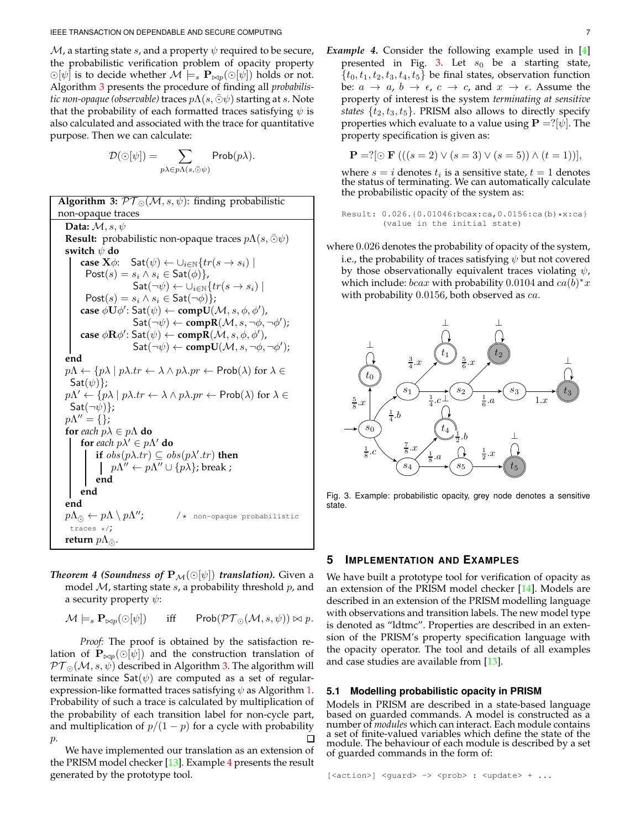$M$ , a starting state s, and a property  $\psi$  required to be secure, the probabilistic verification problem of opacity property  $\odot[\psi]$  is to decide whether  $\mathcal{M} \models_s \mathbf{P}_{\bowtie p}(\odot[\psi])$  holds or not. Algorithm [3](#page-6-1) presents the procedure of finding all *probabilistic non-opaque (observable)* traces  $p\Lambda(s,\bar{\odot}\psi)$  starting at s. Note that the probability of each formatted traces satisfying  $\psi$  is also calculated and associated with the trace for quantitative purpose. Then we can calculate:

$$
\mathcal{D}(\odot[\psi]) = \sum_{p\lambda \in p\Lambda(s,\bar{\odot}\psi)} \mathsf{Prob}(p\lambda).
$$

**Algorithm 3:**  $\mathcal{PT}_{\odot}(\mathcal{M}, s, \psi)$ : finding probabilistic non-opaque traces **Data:** M, s, ψ **Result:** probabilistic non-opaque traces  $p\Lambda(s,\overline{\odot}\psi)$ **switch** ψ **do case**  $\mathbf{X}\phi$ :  $\mathsf{Sat}(\psi) \leftarrow \bigcup_{i\in\mathbb{N}} \{tr(s \rightarrow s_i) \mid$  $Post(s) = s_i \wedge s_i \in Sat(\phi)$ ,  $\mathsf{Sat}(\neg \psi) \leftarrow \cup_{i \in \mathbb{N}} \{ tr(s \rightarrow s_i) \mid$ Post(s) =  $s_i \wedge s_i \in$  Sat( $\neg \phi$ )};  $\mathsf{case}~\phi\dot{\mathbf{U}}\phi'\colon \mathsf{Sat}(\psi)\leftarrow \mathsf{comp}\dot{\mathbf{U}}(\mathcal{M},s,\phi,\phi'),$  $\mathsf{Sat}(\neg \psi) \leftarrow \mathbf{compR}(\mathcal{M}, s, \neg \phi, \neg \phi')$ ;  $\mathsf{case}\ \phi\mathbf{R}\phi'\colon \mathsf{Sat}(\psi)\leftarrow \mathsf{comp}\bar{\mathbf{R}}(\mathcal{M},s,\phi,\phi'),$  $\mathsf{Sat}(\neg \psi) \leftarrow \mathbf{compU}(\mathcal{M}, s, \neg \phi, \neg \phi')$ ; **end**  $p\Lambda \leftarrow \{p\lambda \mid p\lambda \cdot tr \leftarrow \lambda \wedge p\lambda \cdot pr \leftarrow \mathsf{Prob}(\lambda) \text{ for } \lambda \in$  $Sat(\psi)$ :  $p\Lambda' \leftarrow \{p\lambda \mid p\lambda.tr \leftarrow \lambda \wedge p\lambda.pr \leftarrow \mathsf{Prob}(\lambda) \text{ for } \lambda \in$  $Sat(\neg\psi)$ ;  $p\Lambda'' = \{\};$ **for** *each*  $p\lambda \in p\Lambda$  **do for** each  $p\lambda' \in p\Lambda'$  **do if**  $obs(p\lambda \cdot tr) \subseteq obs(p\lambda' \cdot tr)$  **then**  $p\Lambda'' \leftarrow p\Lambda'' \cup \{p\lambda\}$ ; break ; **end end end**  $p\Lambda_{\bar{\odot}} \leftarrow p\Lambda \setminus p\Lambda''$ ;  $/*$  non-opaque probabilistic traces \*/; **return**  $p\Lambda_{\bar{Q}}$ .

<span id="page-6-1"></span>*Theorem 4 (Soundness of*  $P_{\mathcal{M}}(\odot[\psi])$  *translation).* Given a model  $M$ , starting state  $s$ , a probability threshold  $p$ , and a security property  $\psi$ :

$$
\mathcal{M} \models_s \mathbf{P}_{\bowtie p}(\odot [\psi]) \quad \text{iff} \quad \mathsf{Prob}(\mathcal{PT}_{\odot}(\mathcal{M}, s, \psi)) \bowtie p.
$$

*Proof:* The proof is obtained by the satisfaction relation of  $\mathbf{P}_{\bowtie p}(\odot[\psi])$  and the construction translation of  $\mathcal{PT}_{\odot}(\mathcal{M}, s, \psi)$  described in Algorithm [3.](#page-6-1) The algorithm will terminate since  $\mathsf{Sat}(\psi)$  are computed as a set of regularexpression-like formatted traces satisfying  $\psi$  as Algorithm [1.](#page-3-0) Probability of such a trace is calculated by multiplication of the probability of each transition label for non-cycle part, and multiplication of  $p/(1-p)$  for a cycle with probability  $p$ .

We have implemented our translation as an extension of the PRISM model checker [\[13\]](#page-10-12). Example [4](#page-6-2) presents the result generated by the prototype tool.

*Example 4.* Consider the following example used in [\[4\]](#page-10-3) presented in Fig. [3.](#page-6-3) Let  $s_0$  be a starting state,  $\{t_0, t_1, t_2, t_3, t_4, t_5\}$  be final states, observation function be:  $a \rightarrow a$ ,  $b \rightarrow \epsilon$ ,  $c \rightarrow c$ , and  $x \rightarrow \epsilon$ . Assume the property of interest is the system *terminating at sensitive states*  $\{t_2, t_3, t_5\}$ . PRISM also allows to directly specify properties which evaluate to a value using  ${\bf P} = ?[\psi]$ . The property specification is given as:

$$
\mathbf{P} = ?[\odot \mathbf{F} (( (s = 2) \vee (s = 3) \vee (s = 5)) \wedge (t = 1))],
$$

where  $s = i$  denotes  $t_i$  is a sensitive state,  $t = 1$  denotes the status of terminating. We can automatically calculate the probabilistic opacity of the system as:

```
Result: 0.026.{0.01046:bcax:ca,0.0156:ca(b)*x:ca}
        (value in the initial state)
```
where 0.026 denotes the probability of opacity of the system, i.e., the probability of traces satisfying  $\psi$  but not covered by those observationally equivalent traces violating  $\psi$ , which include:  $bcax$  with probability 0.0104 and  $ca(b)*x$ with probability  $0.0156$ , both observed as  $ca$ .



<span id="page-6-3"></span>Fig. 3. Example: probabilistic opacity, grey node denotes a sensitive state.

## <span id="page-6-0"></span>**5 IMPLEMENTATION AND EXAMPLES**

We have built a prototype tool for verification of opacity as an extension of the PRISM model checker [\[14\]](#page-10-13). Models are described in an extension of the PRISM modelling language with observations and transition labels. The new model type is denoted as "ldtmc". Properties are described in an extension of the PRISM's property specification language with the opacity operator. The tool and details of all examples and case studies are available from [\[13\]](#page-10-12).

#### **5.1 Modelling probabilistic opacity in PRISM**

Models in PRISM are described in a state-based language based on guarded commands. A model is constructed as a number of *modules* which can interact. Each module contains a set of finite-valued variables which define the state of the module. The behaviour of each module is described by a set of guarded commands in the form of:

<span id="page-6-2"></span>[<action>] <guard> -> <prob> : <update> + ...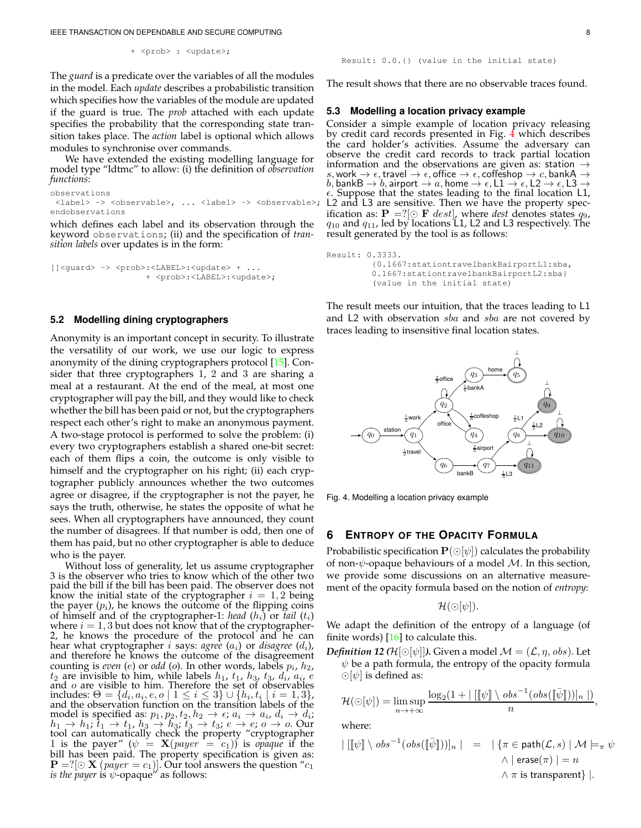IEEE TRANSACTION ON DEPENDABLE AND SECURE COMPUTING 8

+ <prob> : <update>;

The *guard* is a predicate over the variables of all the modules in the model. Each *update* describes a probabilistic transition which specifies how the variables of the module are updated if the guard is true. The *prob* attached with each update specifies the probability that the corresponding state transition takes place. The *action* label is optional which allows modules to synchronise over commands.

We have extended the existing modelling language for model type "ldtmc" to allow: (i) the definition of *observation functions*:

```
observations
 <label> -> <observable>, ... <label> -> <observable>;
L2 and L3 are sensitive. Then we have the property spec-
endobservations
```
which defines each label and its observation through the keyword observations; (ii) and the specification of *transition labels* over updates is in the form:

```
[]<quard> -> <prob>:<LABEL>:<update> + ...
                   + <prob>:<LABEL>:<update>;
```
#### **5.2 Modelling dining cryptographers**

Anonymity is an important concept in security. To illustrate the versatility of our work, we use our logic to express anonymity of the dining cryptographers protocol [\[15\]](#page-10-14). Consider that three cryptographers 1, 2 and 3 are sharing a meal at a restaurant. At the end of the meal, at most one cryptographer will pay the bill, and they would like to check whether the bill has been paid or not, but the cryptographers respect each other's right to make an anonymous payment. A two-stage protocol is performed to solve the problem: (i) every two cryptographers establish a shared one-bit secret: each of them flips a coin, the outcome is only visible to himself and the cryptographer on his right; (ii) each cryptographer publicly announces whether the two outcomes agree or disagree, if the cryptographer is not the payer, he says the truth, otherwise, he states the opposite of what he sees. When all cryptographers have announced, they count the number of disagrees. If that number is odd, then one of them has paid, but no other cryptographer is able to deduce who is the payer.

Without loss of generality, let us assume cryptographer 3 is the observer who tries to know which of the other two paid the bill if the bill has been paid. The observer does not know the initial state of the cryptographer  $i = 1,2$  being the payer  $(p_i)$ , he knows the outcome of the flipping coins of himself and of the cryptographer-1: *head*  $(h_i)$  or *tail*  $(t_i)$ where  $i = 1, 3$  but does not know that of the cryptographer-2, he knows the procedure of the protocol and he can hear what cryptographer  $i$  says:  $\emph{agree}\ (a_i)$  or  $\emph{disagree}\ (d_i)$ , and therefore he knows the outcome of the disagreement counting is *even* (*e*) or *odd* (*o*). In other words, labels  $p_i$ ,  $h_2$ ,  $t_2$  are invisible to him, while labels  $h_1$ ,  $t_1$ ,  $h_3$ ,  $t_3$ ,  $d_i$ ,  $a_i$ ,  $e$ and o are visible to him. Therefore the set of observables includes:  $\Theta = \{d_i, a_i, e, o \mid 1 \leq i \leq 3\} \cup \{h_i, t_i \mid i = 1, 3\},\}$ and the observation function on the transition labels of the model is specified as:  $p_1, p_2, t_2, h_2 \rightarrow \epsilon$ ;  $a_i \rightarrow a_i$ ,  $d_i \rightarrow d_i$ ;  $h_1 \rightarrow h_1$ ;  $\overline{t}_1 \rightarrow t_1$ ,  $h_3 \rightarrow h_3$ ;  $t_3 \rightarrow t_3$ ;  $e \rightarrow e$ ;  $o \rightarrow o$ . Our tool can automatically check the property "cryptographer 1 is the payer" ( $\psi = \mathbf{X}(paper = c_1)$ ) is *opaque* if the bill has been paid. The property specification is given as:  ${\bf P} = : [\odot {\bf X} (paper = c_1)].$  Our tool answers the question " $c_1$  *is the payer* is  $\psi$ -opaque" as follows:

```
Result: 0.0.{} (value in the initial state)
```
The result shows that there are no observable traces found.

# **5.3 Modelling a location privacy example**

Consider a simple example of location privacy releasing by credit card records presented in Fig. [4](#page-7-1) which describes the card holder's activities. Assume the adversary can observe the credit card records to track partial location information and the observations are given as: station  $\rightarrow$ s, work  $\rightarrow \epsilon$ , travel  $\rightarrow \epsilon$ , office  $\rightarrow \epsilon$ , coffeshop  $\rightarrow c$ , bankA  $\rightarrow$ b, bankB  $\rightarrow b$ , airport  $\rightarrow a$ , home  $\rightarrow \epsilon$ , L1  $\rightarrow \epsilon$ , L2  $\rightarrow \epsilon$ , L3  $\rightarrow$  $\epsilon$ . Suppose that the states leading to the final location L1, ification as:  $\mathbf{P} = ?[ \odot \mathbf{F} \text{ dest}]$ , where *dest* denotes states  $q_9$ ,  $q_{10}$  and  $q_{11}$ , led by locations L1, L2 and L3 respectively. The result generated by the tool is as follows:

```
Result: 0.3333.
         {0.1667:stationtravelbankBairportL1:sba,
         0.1667:stationtravelbankBairportL2:sba}
         (value in the initial state)
```
The result meets our intuition, that the traces leading to L1 and L2 with observation sba and sba are not covered by traces leading to insensitive final location states.



<span id="page-7-1"></span>Fig. 4. Modelling a location privacy example

# <span id="page-7-0"></span>**6 ENTROPY OF THE OPACITY FORMULA**

Probabilistic specification  $\mathbf{P}(\bigcirc[\psi])$  calculates the probability of non- $\psi$ -opaque behaviours of a model M. In this section, we provide some discussions on an alternative measurement of the opacity formula based on the notion of *entropy*:

$$
\mathcal{H}(\odot[\psi]).
$$

We adapt the definition of the entropy of a language (of finite words)  $[16]$  to calculate this.

<span id="page-7-2"></span>*Definition 12 (H*[⊙[ $\psi$ ]]). Given a model  $\mathcal{M} = (\mathcal{L}, \eta, obs)$ . Let  $\psi$  be a path formula, the entropy of the opacity formula  $\odot$ [ $\psi$ ] is defined as:

$$
\mathcal{H}(\bigcirc[\psi]) = \limsup_{n \to +\infty} \frac{\log_2(1 + |[[\psi]] \setminus obs^{-1}(obs([\bar{\psi}]))]_n |)}{n},
$$

where:

$$
\begin{array}{rcl}\n| \left[ \llbracket \psi \rrbracket \setminus obs^{-1}(obs([\bar{\psi}])) \right]_n & | & = & |\{ \pi \in \text{path}(\mathcal{L}, s) \mid \mathcal{M} \models_{\pi} \psi \} \\
& \land | \text{ erase}(\pi) | = n \\
& \land \pi \text{ is transparent} \} \mid .\n\end{array}
$$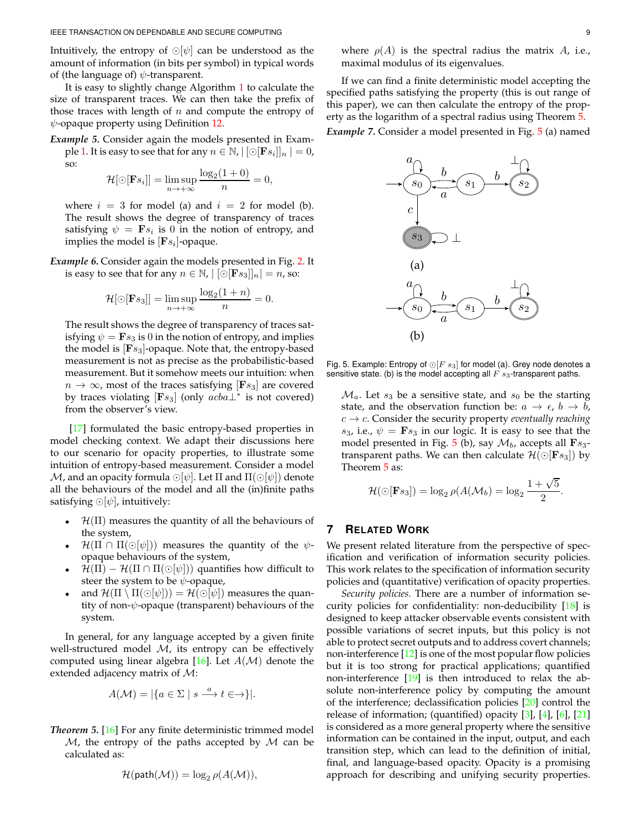Intuitively, the entropy of  $\odot[\psi]$  can be understood as the amount of information (in bits per symbol) in typical words of (the language of)  $\psi$ -transparent.

It is easy to slightly change Algorithm [1](#page-3-0) to calculate the size of transparent traces. We can then take the prefix of those traces with length of  $n$  and compute the entropy of  $\psi$ -opaque property using Definition [12.](#page-7-2)

*Example 5.* Consider again the models presented in Exam-ple [1.](#page-4-1) It is easy to see that for any  $n \in \mathbb{N}$ ,  $|\left[\odot [\mathbf{F} s_i]\right]_n| = 0$ , so:

$$
\mathcal{H}[\odot[\mathbf{F}s_i]] = \limsup_{n \to +\infty} \frac{\log_2(1+0)}{n} = 0,
$$

where  $i = 3$  for model (a) and  $i = 2$  for model (b). The result shows the degree of transparency of traces satisfying  $\psi = \mathbf{F} s_i$  is 0 in the notion of entropy, and implies the model is  $[{\bf F} s_i]$ -opaque.

*Example 6.* Consider again the models presented in Fig. [2.](#page-5-0) It is easy to see that for any  $n \in \mathbb{N}$ ,  $\left[\bigcirc[\mathbf{F} s_3]\right]_n = n$ , so:

$$
\mathcal{H}[\odot[\mathbf{F}s_3]] = \limsup_{n \to +\infty} \frac{\log_2(1+n)}{n} = 0.
$$

The result shows the degree of transparency of traces satisfying  $\psi = \mathbf{F} s_3$  is 0 in the notion of entropy, and implies the model is  $[Fs_3]$ -opaque. Note that, the entropy-based measurement is not as precise as the probabilistic-based measurement. But it somehow meets our intuition: when  $n \to \infty$ , most of the traces satisfying [F<sub>S3</sub>] are covered by traces violating [ $\text{F}s_3$ ] (only  $acba\perp^*$  is not covered) from the observer's view.

[\[17\]](#page-10-16) formulated the basic entropy-based properties in model checking context. We adapt their discussions here to our scenario for opacity properties, to illustrate some intuition of entropy-based measurement. Consider a model  $\mathcal M$ , and an opacity formula  $\odot[\psi]$ . Let  $\Pi$  and  $\Pi(\odot[\psi])$  denote all the behaviours of the model and all the (in)finite paths satisfying ⊙[ $\psi$ ], intuitively:

- $H(\Pi)$  measures the quantity of all the behaviours of the system,
- $\mathcal{H}(\Pi \cap \Pi(\odot[\psi]))$  measures the quantity of the  $\psi$ opaque behaviours of the system,
- $\mathcal{H}(\Pi) \mathcal{H}(\Pi \cap \Pi(\odot[\psi]))$  quantifies how difficult to steer the system to be  $\psi$ -opaque,
- and  $\mathcal{H}(\Pi \setminus \Pi(\odot[\psi])) = \mathcal{H}(\odot[\psi])$  measures the quantity of non- $\psi$ -opaque (transparent) behaviours of the system.

In general, for any language accepted by a given finite well-structured model  $M$ , its entropy can be effectively computed using linear algebra [\[16\]](#page-10-15). Let  $A(\mathcal{M})$  denote the extended adjacency matrix of M:

$$
A(\mathcal{M}) = |\{a \in \Sigma \mid s \xrightarrow{a} t \in \rightarrow\}|.
$$

<span id="page-8-1"></span>*Theorem 5.* [\[16\]](#page-10-15) For any finite deterministic trimmed model  $M$ , the entropy of the paths accepted by  $M$  can be calculated as:

$$
\mathcal{H}(\mathsf{path}(\mathcal{M})) = \log_2 \rho(A(\mathcal{M})),
$$

where  $\rho(A)$  is the spectral radius the matrix A, i.e., maximal modulus of its eigenvalues.

If we can find a finite deterministic model accepting the specified paths satisfying the property (this is out range of this paper), we can then calculate the entropy of the property as the logarithm of a spectral radius using Theorem [5.](#page-8-1)

*Example 7.* Consider a model presented in Fig. [5](#page-8-2) (a) named



Fig. 5. Example: Entropy of  $\odot$ [F  $s_3$ ] for model (a). Grey node denotes a sensitive state. (b) is the model accepting all  $F \, s_3$ -transparent paths.

<span id="page-8-2"></span> $\mathcal{M}_a$ . Let  $s_3$  be a sensitive state, and  $s_0$  be the starting state, and the observation function be:  $a \rightarrow \epsilon$ ,  $b \rightarrow b$ ,  $c \rightarrow c$ . Consider the security property *eventually reaching*  $s_3$ , i.e.,  $\psi = \mathbf{F} s_3$  in our logic. It is easy to see that the model presented in Fig. [5](#page-8-2) (b), say  $\mathcal{M}_b$ , accepts all  $\mathbf{F}_{s_3}$ transparent paths. We can then calculate  $\mathcal{H}(\bigcirc$ [**F**s<sub>3</sub>]) by Theorem [5](#page-8-1) as:

$$
\mathcal{H}(\bigcirc[\mathbf{F}s_3]) = \log_2 \rho(A(\mathcal{M}_b) = \log_2 \frac{1 + \sqrt{5}}{2}.
$$

# <span id="page-8-0"></span>**7 RELATED WORK**

We present related literature from the perspective of specification and verification of information security policies. This work relates to the specification of information security policies and (quantitative) verification of opacity properties.

*Security policies.* There are a number of information security policies for confidentiality: non-deducibility [\[18\]](#page-10-17) is designed to keep attacker observable events consistent with possible variations of secret inputs, but this policy is not able to protect secret outputs and to address covert channels; non-interference [\[12\]](#page-10-11) is one of the most popular flow policies but it is too strong for practical applications; quantified non-interference [\[19\]](#page-10-18) is then introduced to relax the absolute non-interference policy by computing the amount of the interference; declassification policies [\[20\]](#page-10-19) control the release of information; (quantified) opacity  $[3]$ ,  $[4]$ ,  $[6]$ ,  $[21]$ is considered as a more general property where the sensitive information can be contained in the input, output, and each transition step, which can lead to the definition of initial, final, and language-based opacity. Opacity is a promising approach for describing and unifying security properties.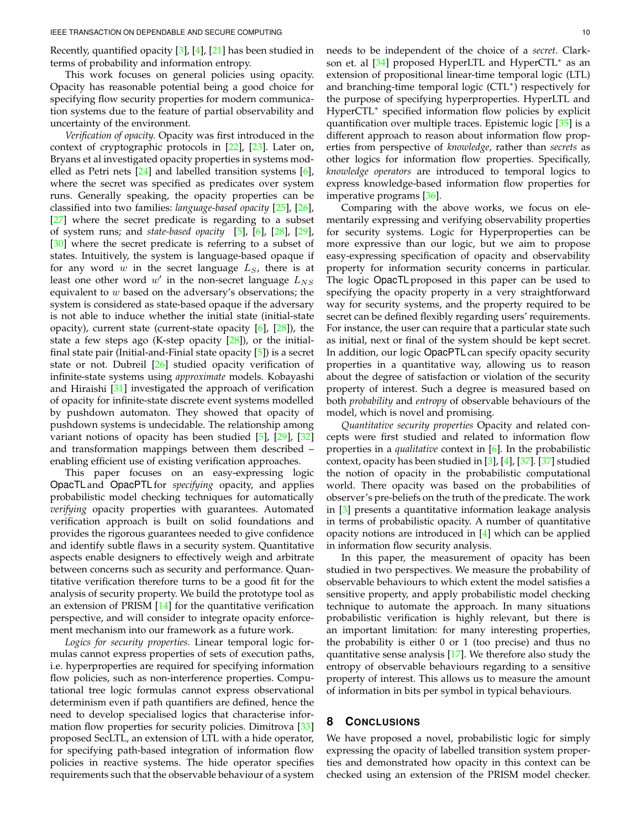Recently, quantified opacity [\[3\]](#page-10-2), [\[4\]](#page-10-3), [\[21\]](#page-10-20) has been studied in terms of probability and information entropy.

This work focuses on general policies using opacity. Opacity has reasonable potential being a good choice for specifying flow security properties for modern communication systems due to the feature of partial observability and uncertainty of the environment.

*Verification of opacity.* Opacity was first introduced in the context of cryptographic protocols in [\[22\]](#page-10-21), [\[23\]](#page-10-22). Later on, Bryans et al investigated opacity properties in systems modelled as Petri nets [\[24\]](#page-10-23) and labelled transition systems [\[6\]](#page-10-5), where the secret was specified as predicates over system runs. Generally speaking, the opacity properties can be classified into two families: *language-based opacity* [\[25\]](#page-10-24), [\[26\]](#page-10-25), [\[27\]](#page-10-26) where the secret predicate is regarding to a subset of system runs; and *state-based opacity* [\[5\]](#page-10-4), [\[6\]](#page-10-5), [\[28\]](#page-10-27), [\[29\]](#page-10-28), [\[30\]](#page-10-29) where the secret predicate is referring to a subset of states. Intuitively, the system is language-based opaque if for any word  $w$  in the secret language  $L<sub>S</sub>$ , there is at least one other word  $w'$  in the non-secret language  $L_{NS}$ equivalent to  $w$  based on the adversary's observations; the system is considered as state-based opaque if the adversary is not able to induce whether the initial state (initial-state opacity), current state (current-state opacity  $[6]$ ,  $[28]$ ), the state a few steps ago (K-step opacity [\[28\]](#page-10-27)), or the initialfinal state pair (Initial-and-Finial state opacity [\[5\]](#page-10-4)) is a secret state or not. Dubreil [\[26\]](#page-10-25) studied opacity verification of infinite-state systems using *approximate* models. Kobayashi and Hiraishi [\[31\]](#page-10-30) investigated the approach of verification of opacity for infinite-state discrete event systems modelled by pushdown automaton. They showed that opacity of pushdown systems is undecidable. The relationship among variant notions of opacity has been studied [\[5\]](#page-10-4), [\[29\]](#page-10-28), [\[32\]](#page-10-31) and transformation mappings between them described – enabling efficient use of existing verification approaches.

This paper focuses on an easy-expressing logic OpacTL and OpacPTL for *specifying* opacity, and applies probabilistic model checking techniques for automatically *verifying* opacity properties with guarantees. Automated verification approach is built on solid foundations and provides the rigorous guarantees needed to give confidence and identify subtle flaws in a security system. Quantitative aspects enable designers to effectively weigh and arbitrate between concerns such as security and performance. Quantitative verification therefore turns to be a good fit for the analysis of security property. We build the prototype tool as an extension of PRISM [\[14\]](#page-10-13) for the quantitative verification perspective, and will consider to integrate opacity enforcement mechanism into our framework as a future work.

*Logics for security properties.* Linear temporal logic formulas cannot express properties of sets of execution paths, i.e. hyperproperties are required for specifying information flow policies, such as non-interference properties. Computational tree logic formulas cannot express observational determinism even if path quantifiers are defined, hence the need to develop specialised logics that characterise information flow properties for security policies. Dimitrova [\[33\]](#page-10-32) proposed SecLTL, an extension of LTL with a hide operator, for specifying path-based integration of information flow policies in reactive systems. The hide operator specifies requirements such that the observable behaviour of a system

needs to be independent of the choice of a *secret*. Clarkson et. al <a>[34]</a> proposed HyperLTL and HyperCTL\* as an extension of propositional linear-time temporal logic (LTL) and branching-time temporal logic (CTL<sup>∗</sup> ) respectively for the purpose of specifying hyperproperties. HyperLTL and HyperCTL<sup>\*</sup> specified information flow policies by explicit quantification over multiple traces. Epistemic logic [\[35\]](#page-10-34) is a different approach to reason about information flow properties from perspective of *knowledge*, rather than *secrets* as other logics for information flow properties. Specifically, *knowledge operators* are introduced to temporal logics to express knowledge-based information flow properties for imperative programs [\[36\]](#page-10-35).

Comparing with the above works, we focus on elementarily expressing and verifying observability properties for security systems. Logic for Hyperproperties can be more expressive than our logic, but we aim to propose easy-expressing specification of opacity and observability property for information security concerns in particular. The logic OpacTL proposed in this paper can be used to specifying the opacity property in a very straightforward way for security systems, and the property required to be secret can be defined flexibly regarding users' requirements. For instance, the user can require that a particular state such as initial, next or final of the system should be kept secret. In addition, our logic OpacPTL can specify opacity security properties in a quantitative way, allowing us to reason about the degree of satisfaction or violation of the security property of interest. Such a degree is measured based on both *probability* and *entropy* of observable behaviours of the model, which is novel and promising.

*Quantitative security properties* Opacity and related concepts were first studied and related to information flow properties in a *qualitative* context in [\[6\]](#page-10-5). In the probabilistic context, opacity has been studied in [\[3\]](#page-10-2), [\[4\]](#page-10-3), [\[37\]](#page-10-36). [\[37\]](#page-10-36) studied the notion of opacity in the probabilistic computational world. There opacity was based on the probabilities of observer's pre-beliefs on the truth of the predicate. The work in [\[3\]](#page-10-2) presents a quantitative information leakage analysis in terms of probabilistic opacity. A number of quantitative opacity notions are introduced in [\[4\]](#page-10-3) which can be applied in information flow security analysis.

In this paper, the measurement of opacity has been studied in two perspectives. We measure the probability of observable behaviours to which extent the model satisfies a sensitive property, and apply probabilistic model checking technique to automate the approach. In many situations probabilistic verification is highly relevant, but there is an important limitation: for many interesting properties, the probability is either 0 or 1 (too precise) and thus no quantitative sense analysis [\[17\]](#page-10-16). We therefore also study the entropy of observable behaviours regarding to a sensitive property of interest. This allows us to measure the amount of information in bits per symbol in typical behaviours.

## <span id="page-9-0"></span>**8 CONCLUSIONS**

We have proposed a novel, probabilistic logic for simply expressing the opacity of labelled transition system properties and demonstrated how opacity in this context can be checked using an extension of the PRISM model checker.